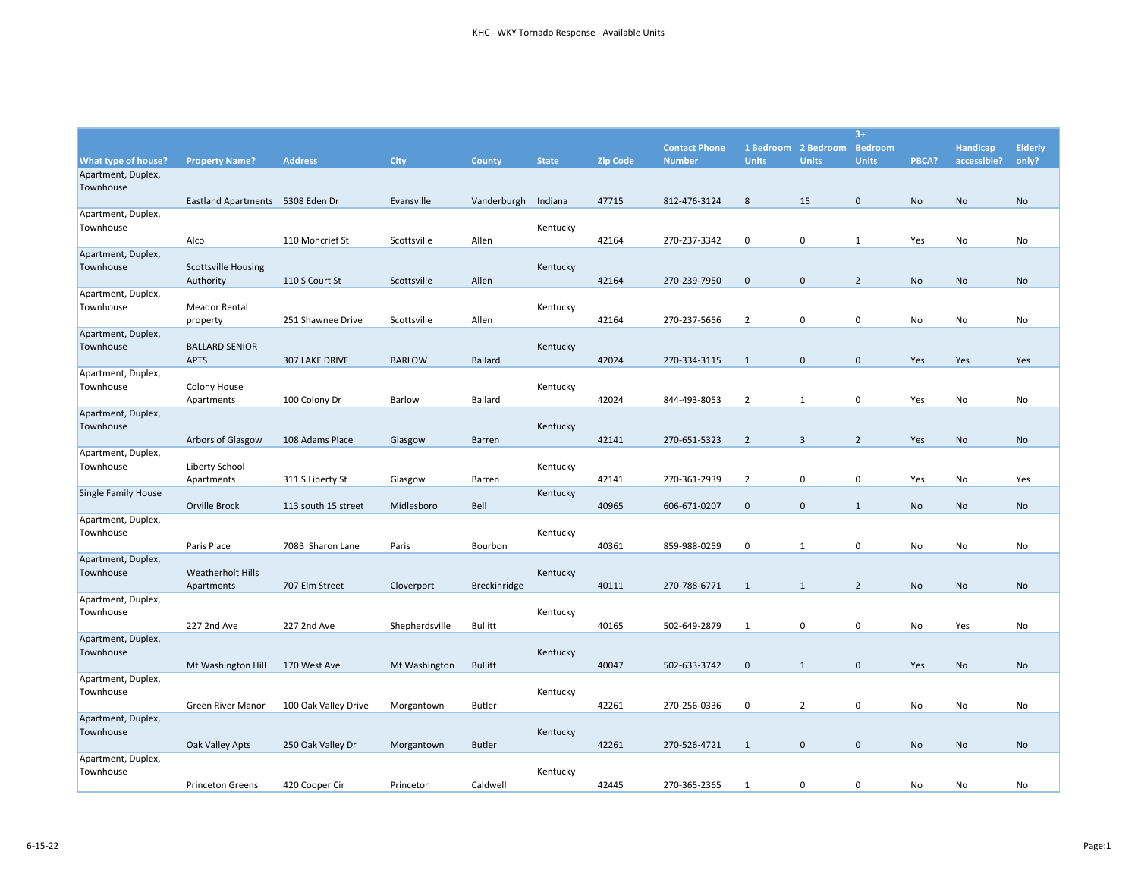|                                 |                                  |                      |                |                     |              |                 |                      |                |                             | $3+$           |           |                 |                |
|---------------------------------|----------------------------------|----------------------|----------------|---------------------|--------------|-----------------|----------------------|----------------|-----------------------------|----------------|-----------|-----------------|----------------|
|                                 |                                  |                      |                |                     |              |                 | <b>Contact Phone</b> |                | 1 Bedroom 2 Bedroom Bedroom |                |           | <b>Handicap</b> | <b>Elderly</b> |
| What type of house?             | <b>Property Name?</b>            | <b>Address</b>       | City           | County              | <b>State</b> | <b>Zip Code</b> | <b>Number</b>        | <b>Units</b>   | <b>Units</b>                | <b>Units</b>   | PBCA?     | accessible?     | only?          |
| Apartment, Duplex,              |                                  |                      |                |                     |              |                 |                      |                |                             |                |           |                 |                |
| Townhouse                       |                                  |                      |                |                     |              |                 |                      |                |                             |                |           |                 |                |
|                                 | Eastland Apartments 5308 Eden Dr |                      | Evansville     | Vanderburgh         | Indiana      | 47715           | 812-476-3124         | 8              | 15                          | $\pmb{0}$      | No        | No              | No             |
| Apartment, Duplex,              |                                  |                      |                |                     |              |                 |                      |                |                             |                |           |                 |                |
| Townhouse                       | Alco                             | 110 Moncrief St      | Scottsville    | Allen               | Kentucky     | 42164           | 270-237-3342         | 0              | 0                           | 1              | Yes       | No              | No             |
| Apartment, Duplex,              |                                  |                      |                |                     |              |                 |                      |                |                             |                |           |                 |                |
| Townhouse                       | <b>Scottsville Housing</b>       |                      |                |                     | Kentucky     |                 |                      |                |                             |                |           |                 |                |
|                                 | Authority                        | 110 S Court St       | Scottsville    | Allen               |              | 42164           | 270-239-7950         | $\mathbf 0$    | $\mathbf 0$                 | $\overline{2}$ | No        | No              | No             |
| Apartment, Duplex,              |                                  |                      |                |                     |              |                 |                      |                |                             |                |           |                 |                |
| Townhouse                       | <b>Meador Rental</b>             |                      |                |                     | Kentucky     |                 |                      |                |                             |                |           |                 |                |
|                                 | property                         | 251 Shawnee Drive    | Scottsville    | Allen               |              | 42164           | 270-237-5656         | 2              | 0                           | $\mathbf 0$    | No        | No              | No             |
| Apartment, Duplex,              |                                  |                      |                |                     |              |                 |                      |                |                             |                |           |                 |                |
| Townhouse                       | <b>BALLARD SENIOR</b>            |                      |                |                     | Kentucky     |                 |                      |                |                             |                |           |                 |                |
|                                 | <b>APTS</b>                      | 307 LAKE DRIVE       | <b>BARLOW</b>  | <b>Ballard</b>      |              | 42024           | 270-334-3115         | 1              | $\mathbf 0$                 | $\mathbf 0$    | Yes       | Yes             | Yes            |
| Apartment, Duplex,              |                                  |                      |                |                     |              |                 |                      |                |                             |                |           |                 |                |
| Townhouse                       | Colony House                     |                      |                |                     | Kentucky     |                 |                      |                |                             | $\mathbf 0$    |           |                 |                |
| Apartment, Duplex,              | Apartments                       | 100 Colony Dr        | <b>Barlow</b>  | Ballard             |              | 42024           | 844-493-8053         | $\overline{2}$ | $\mathbf{1}$                |                | Yes       | No              | No             |
| Townhouse                       |                                  |                      |                |                     | Kentucky     |                 |                      |                |                             |                |           |                 |                |
|                                 | Arbors of Glasgow                | 108 Adams Place      | Glasgow        | <b>Barren</b>       |              | 42141           | 270-651-5323         | $\overline{2}$ | 3                           | $\overline{2}$ | Yes       | No              | No             |
| Apartment, Duplex,              |                                  |                      |                |                     |              |                 |                      |                |                             |                |           |                 |                |
| Townhouse                       | Liberty School                   |                      |                |                     | Kentucky     |                 |                      |                |                             |                |           |                 |                |
|                                 | Apartments                       | 311 S.Liberty St     | Glasgow        | Barren              |              | 42141           | 270-361-2939         | $\overline{2}$ | $\mathbf 0$                 | $\pmb{0}$      | Yes       | No              | Yes            |
| <b>Single Family House</b>      |                                  |                      |                |                     | Kentucky     |                 |                      |                |                             |                |           |                 |                |
|                                 | Orville Brock                    | 113 south 15 street  | Midlesboro     | Bell                |              | 40965           | 606-671-0207         | $\mathbf 0$    | $\mathbf 0$                 | $\mathbf{1}$   | <b>No</b> | No              | No             |
| Apartment, Duplex,              |                                  |                      |                |                     |              |                 |                      |                |                             |                |           |                 |                |
| Townhouse                       |                                  |                      |                |                     | Kentucky     |                 |                      |                |                             |                |           |                 |                |
|                                 | Paris Place                      | 708B Sharon Lane     | Paris          | Bourbon             |              | 40361           | 859-988-0259         | 0              | $\mathbf{1}$                | $\mathbf 0$    | No        | No              | No             |
| Apartment, Duplex,<br>Townhouse | <b>Weatherholt Hills</b>         |                      |                |                     |              |                 |                      |                |                             |                |           |                 |                |
|                                 | Apartments                       | 707 Elm Street       | Cloverport     | <b>Breckinridge</b> | Kentucky     | 40111           | 270-788-6771         | 1              | $\mathbf{1}$                | $\overline{2}$ | <b>No</b> | No              | No             |
| Apartment, Duplex,              |                                  |                      |                |                     |              |                 |                      |                |                             |                |           |                 |                |
| Townhouse                       |                                  |                      |                |                     | Kentucky     |                 |                      |                |                             |                |           |                 |                |
|                                 | 227 2nd Ave                      | 227 2nd Ave          | Shepherdsville | <b>Bullitt</b>      |              | 40165           | 502-649-2879         | 1              | 0                           | $\pmb{0}$      | No        | Yes             | No             |
| Apartment, Duplex,              |                                  |                      |                |                     |              |                 |                      |                |                             |                |           |                 |                |
| Townhouse                       |                                  |                      |                |                     | Kentucky     |                 |                      |                |                             |                |           |                 |                |
|                                 | Mt Washington Hill               | 170 West Ave         | Mt Washington  | <b>Bullitt</b>      |              | 40047           | 502-633-3742         | $\mathbf 0$    | $\mathbf{1}$                | $\pmb{0}$      | Yes       | No              | No             |
| Apartment, Duplex,              |                                  |                      |                |                     |              |                 |                      |                |                             |                |           |                 |                |
| Townhouse                       |                                  |                      |                |                     | Kentucky     |                 |                      |                |                             |                |           |                 |                |
|                                 | <b>Green River Manor</b>         | 100 Oak Valley Drive | Morgantown     | <b>Butler</b>       |              | 42261           | 270-256-0336         | 0              | $\overline{2}$              | $\mathbf 0$    | No        | No              | No             |
| Apartment, Duplex,              |                                  |                      |                |                     |              |                 |                      |                |                             |                |           |                 |                |
| Townhouse                       |                                  |                      |                |                     | Kentucky     |                 |                      |                |                             | $\mathbf 0$    |           |                 |                |
| Apartment, Duplex,              | Oak Valley Apts                  | 250 Oak Valley Dr    | Morgantown     | <b>Butler</b>       |              | 42261           | 270-526-4721         | 1              | $\mathbf 0$                 |                | No        | No              | No             |
| Townhouse                       |                                  |                      |                |                     | Kentucky     |                 |                      |                |                             |                |           |                 |                |
|                                 | <b>Princeton Greens</b>          | 420 Cooper Cir       | Princeton      | Caldwell            |              | 42445           | 270-365-2365         | 1              | 0                           | 0              | No        | No              | No             |
|                                 |                                  |                      |                |                     |              |                 |                      |                |                             |                |           |                 |                |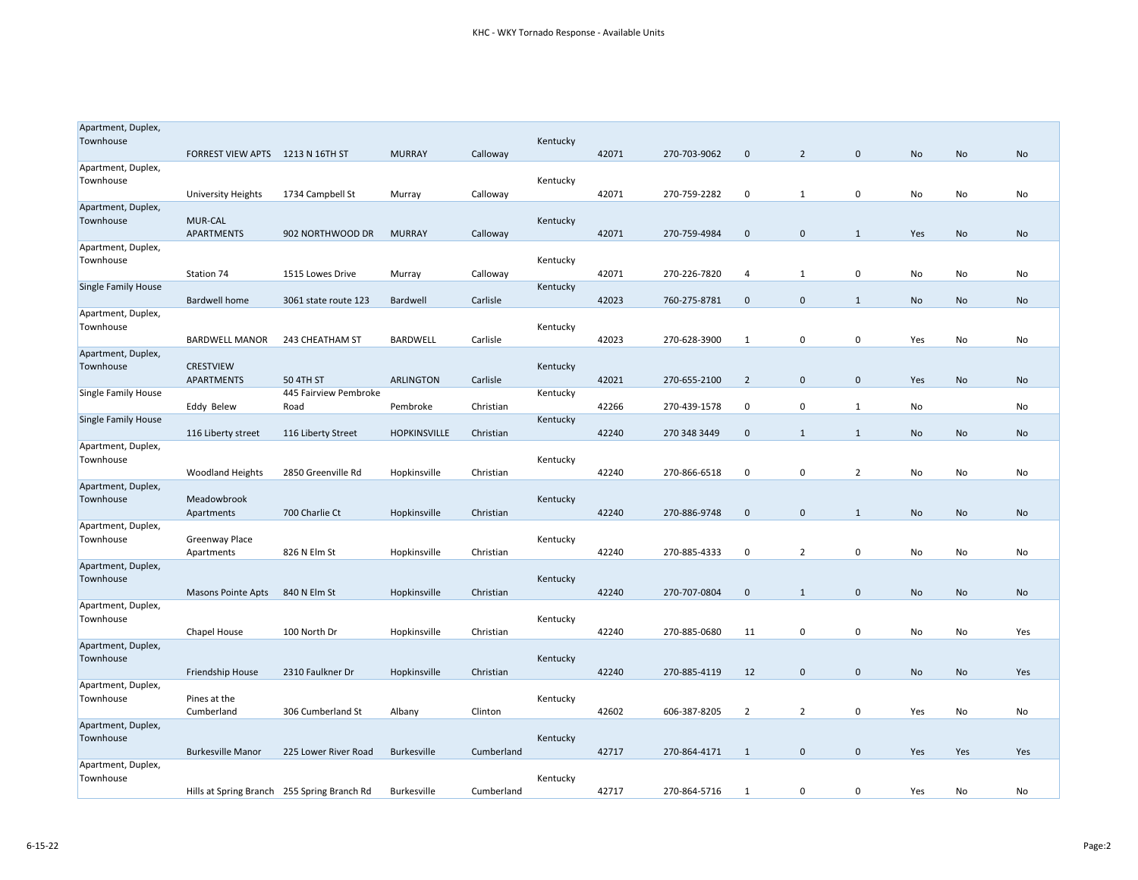| Apartment, Duplex,              |                                  |                                             |                     |            |          |       |              |                |                |                |           |           |     |
|---------------------------------|----------------------------------|---------------------------------------------|---------------------|------------|----------|-------|--------------|----------------|----------------|----------------|-----------|-----------|-----|
| Townhouse                       |                                  |                                             |                     |            | Kentucky |       |              |                |                |                |           |           |     |
|                                 | FORREST VIEW APTS 1213 N 16TH ST |                                             | <b>MURRAY</b>       | Calloway   |          | 42071 | 270-703-9062 | $\mathbf 0$    | $\overline{2}$ | $\mathbf 0$    | No        | No        | No  |
| Apartment, Duplex,              |                                  |                                             |                     |            |          |       |              |                |                |                |           |           |     |
| Townhouse                       |                                  | 1734 Campbell St                            | Murray              | Calloway   | Kentucky | 42071 | 270-759-2282 | 0              | $\mathbf{1}$   | 0              | No        | No        | No  |
| Apartment, Duplex,              | <b>University Heights</b>        |                                             |                     |            |          |       |              |                |                |                |           |           |     |
| Townhouse                       | <b>MUR-CAL</b>                   |                                             |                     |            | Kentucky |       |              |                |                |                |           |           |     |
|                                 | APARTMENTS                       | 902 NORTHWOOD DR                            | <b>MURRAY</b>       | Calloway   |          | 42071 | 270-759-4984 | $\mathbf{0}$   | $\mathbf{0}$   | 1              | Yes       | No        | No  |
| Apartment, Duplex,              |                                  |                                             |                     |            |          |       |              |                |                |                |           |           |     |
| Townhouse                       |                                  |                                             |                     |            | Kentucky |       |              |                |                |                |           |           |     |
|                                 | Station 74                       | 1515 Lowes Drive                            | Murray              | Calloway   |          | 42071 | 270-226-7820 | 4              | 1              | 0              | No        | No        | No  |
| <b>Single Family House</b>      |                                  |                                             |                     |            | Kentucky |       |              |                |                |                |           |           |     |
|                                 | <b>Bardwell home</b>             | 3061 state route 123                        | Bardwell            | Carlisle   |          | 42023 | 760-275-8781 | $\mathbf 0$    | $\mathbf 0$    | $\mathbf{1}$   | No        | No        | No  |
| Apartment, Duplex,              |                                  |                                             |                     |            |          |       |              |                |                |                |           |           |     |
| Townhouse                       |                                  |                                             |                     |            | Kentucky |       |              |                |                |                |           |           |     |
|                                 | <b>BARDWELL MANOR</b>            | 243 CHEATHAM ST                             | BARDWELL            | Carlisle   |          | 42023 | 270-628-3900 | 1              | 0              | 0              | Yes       | No        | No  |
| Apartment, Duplex,<br>Townhouse | <b>CRESTVIEW</b>                 |                                             |                     |            | Kentucky |       |              |                |                |                |           |           |     |
|                                 | <b>APARTMENTS</b>                | 50 4TH ST                                   | <b>ARLINGTON</b>    | Carlisle   |          | 42021 | 270-655-2100 | $\overline{2}$ | $\mathbf 0$    | $\mathbf 0$    | Yes       | No        | No  |
| Single Family House             |                                  | 445 Fairview Pembroke                       |                     |            | Kentucky |       |              |                |                |                |           |           |     |
|                                 | Eddy Belew                       | Road                                        | Pembroke            | Christian  |          | 42266 | 270-439-1578 | 0              | 0              | 1              | No        |           | No  |
| Single Family House             |                                  |                                             |                     |            | Kentucky |       |              |                |                |                |           |           |     |
|                                 | 116 Liberty street               | 116 Liberty Street                          | <b>HOPKINSVILLE</b> | Christian  |          | 42240 | 270 348 3449 | $\mathbf 0$    | $\mathbf{1}$   | 1              | No        | No        | No  |
| Apartment, Duplex,              |                                  |                                             |                     |            |          |       |              |                |                |                |           |           |     |
| Townhouse                       |                                  |                                             |                     |            | Kentucky |       |              |                |                |                |           |           |     |
|                                 | <b>Woodland Heights</b>          | 2850 Greenville Rd                          | Hopkinsville        | Christian  |          | 42240 | 270-866-6518 | 0              | 0              | $\overline{2}$ | No        | No        | No  |
| Apartment, Duplex,              |                                  |                                             |                     |            |          |       |              |                |                |                |           |           |     |
| Townhouse                       | Meadowbrook                      |                                             |                     |            | Kentucky |       |              |                |                |                |           |           |     |
|                                 | Apartments                       | 700 Charlie Ct                              | Hopkinsville        | Christian  |          | 42240 | 270-886-9748 | $\mathbf{0}$   | $\mathbf{0}$   | 1              | No        | <b>No</b> | No  |
| Apartment, Duplex,<br>Townhouse | Greenway Place                   |                                             |                     |            | Kentucky |       |              |                |                |                |           |           |     |
|                                 | Apartments                       | 826 N Elm St                                | Hopkinsville        | Christian  |          | 42240 | 270-885-4333 | 0              | $\overline{2}$ | 0              | No        | No        | No  |
| Apartment, Duplex,              |                                  |                                             |                     |            |          |       |              |                |                |                |           |           |     |
| Townhouse                       |                                  |                                             |                     |            | Kentucky |       |              |                |                |                |           |           |     |
|                                 | <b>Masons Pointe Apts</b>        | 840 N Elm St                                | Hopkinsville        | Christian  |          | 42240 | 270-707-0804 | $\mathbf 0$    | $\mathbf{1}$   | $\mathbf 0$    | No        | No        | No  |
| Apartment, Duplex,              |                                  |                                             |                     |            |          |       |              |                |                |                |           |           |     |
| Townhouse                       |                                  |                                             |                     |            | Kentucky |       |              |                |                |                |           |           |     |
|                                 | Chapel House                     | 100 North Dr                                | Hopkinsville        | Christian  |          | 42240 | 270-885-0680 | 11             | 0              | 0              | No        | No        | Yes |
| Apartment, Duplex,              |                                  |                                             |                     |            |          |       |              |                |                |                |           |           |     |
| Townhouse                       |                                  |                                             |                     |            | Kentucky |       |              |                |                |                |           |           |     |
|                                 | Friendship House                 | 2310 Faulkner Dr                            | Hopkinsville        | Christian  |          | 42240 | 270-885-4119 | 12             | $\mathbf 0$    | $\mathbf 0$    | <b>No</b> | <b>No</b> | Yes |
| Apartment, Duplex,              |                                  |                                             |                     |            |          |       |              |                |                |                |           |           |     |
| Townhouse                       | Pines at the                     |                                             |                     |            | Kentucky |       |              |                | $\overline{2}$ | 0              |           |           |     |
| Apartment, Duplex,              | Cumberland                       | 306 Cumberland St                           | Albany              | Clinton    |          | 42602 | 606-387-8205 | 2              |                |                | Yes       | No        | No  |
| Townhouse                       |                                  |                                             |                     |            | Kentucky |       |              |                |                |                |           |           |     |
|                                 | <b>Burkesville Manor</b>         | 225 Lower River Road                        | <b>Burkesville</b>  | Cumberland |          | 42717 | 270-864-4171 | 1              | $\mathbf{0}$   | $\mathbf 0$    | Yes       | Yes       | Yes |
| Apartment, Duplex,              |                                  |                                             |                     |            |          |       |              |                |                |                |           |           |     |
| Townhouse                       |                                  |                                             |                     |            | Kentucky |       |              |                |                |                |           |           |     |
|                                 |                                  | Hills at Spring Branch 255 Spring Branch Rd | Burkesville         | Cumberland |          | 42717 | 270-864-5716 | 1              | 0              | 0              | Yes       | No        | No  |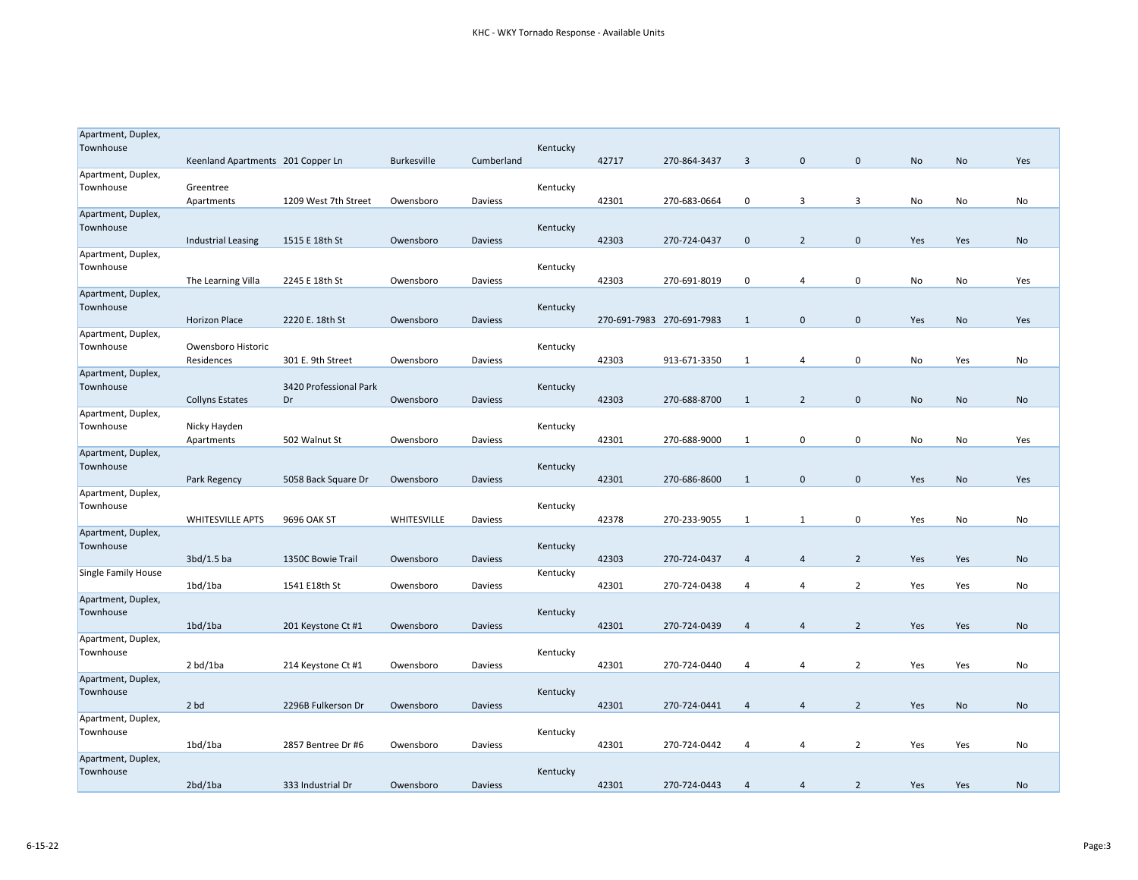| Apartment, Duplex,              |                                   |                        |                    |                |          |                           |              |                |                |                |     |     |           |
|---------------------------------|-----------------------------------|------------------------|--------------------|----------------|----------|---------------------------|--------------|----------------|----------------|----------------|-----|-----|-----------|
| Townhouse                       |                                   |                        |                    |                | Kentucky |                           |              |                |                |                |     |     |           |
|                                 | Keenland Apartments 201 Copper Ln |                        | <b>Burkesville</b> | Cumberland     |          | 42717                     | 270-864-3437 | $\overline{3}$ | $\mathbf 0$    | $\mathbf 0$    | No  | No  | Yes       |
| Apartment, Duplex,              |                                   |                        |                    |                |          |                           |              |                |                |                |     |     |           |
| Townhouse                       | Greentree                         |                        |                    |                | Kentucky |                           |              |                |                |                |     |     |           |
|                                 | Apartments                        | 1209 West 7th Street   | Owensboro          | Daviess        |          | 42301                     | 270-683-0664 | 0              | 3              | 3              | No  | No  | No        |
| Apartment, Duplex,<br>Townhouse |                                   |                        |                    |                | Kentucky |                           |              |                |                |                |     |     |           |
|                                 | Industrial Leasing                | 1515 E 18th St         | Owensboro          | Daviess        |          | 42303                     | 270-724-0437 | $\mathbf 0$    | $\overline{2}$ | $\mathbf 0$    | Yes | Yes | No        |
| Apartment, Duplex,              |                                   |                        |                    |                |          |                           |              |                |                |                |     |     |           |
| Townhouse                       |                                   |                        |                    |                | Kentucky |                           |              |                |                |                |     |     |           |
|                                 | The Learning Villa                | 2245 E 18th St         | Owensboro          | Daviess        |          | 42303                     | 270-691-8019 | 0              | 4              | $\pmb{0}$      | No  | No  | Yes       |
| Apartment, Duplex,              |                                   |                        |                    |                |          |                           |              |                |                |                |     |     |           |
| Townhouse                       |                                   |                        |                    |                | Kentucky |                           |              |                |                |                |     |     |           |
|                                 | <b>Horizon Place</b>              | 2220 E. 18th St        | Owensboro          | Daviess        |          | 270-691-7983 270-691-7983 |              | 1              | $\mathbf 0$    | $\mathbf 0$    | Yes | No  | Yes       |
| Apartment, Duplex,              |                                   |                        |                    |                |          |                           |              |                |                |                |     |     |           |
| Townhouse                       | Owensboro Historic                |                        |                    |                | Kentucky |                           |              |                |                |                |     |     |           |
|                                 | Residences                        | 301 E. 9th Street      | Owensboro          | Daviess        |          | 42303                     | 913-671-3350 | 1              | 4              | $\mathbf 0$    | No  | Yes | No        |
| Apartment, Duplex,<br>Townhouse |                                   | 3420 Professional Park |                    |                | Kentucky |                           |              |                |                |                |     |     |           |
|                                 | <b>Collyns Estates</b>            | Dr                     | Owensboro          | <b>Daviess</b> |          | 42303                     | 270-688-8700 | 1              | $\overline{2}$ | $\mathbf 0$    | No  | No  | No        |
| Apartment, Duplex,              |                                   |                        |                    |                |          |                           |              |                |                |                |     |     |           |
| Townhouse                       | Nicky Hayden                      |                        |                    |                | Kentucky |                           |              |                |                |                |     |     |           |
|                                 | Apartments                        | 502 Walnut St          | Owensboro          | Daviess        |          | 42301                     | 270-688-9000 | 1              | 0              | $\mathbf 0$    | No  | No  | Yes       |
| Apartment, Duplex,              |                                   |                        |                    |                |          |                           |              |                |                |                |     |     |           |
| Townhouse                       |                                   |                        |                    |                | Kentucky |                           |              |                |                |                |     |     |           |
|                                 | Park Regency                      | 5058 Back Square Dr    | Owensboro          | <b>Daviess</b> |          | 42301                     | 270-686-8600 | 1              | $\mathbf 0$    | $\mathbf 0$    | Yes | No  | Yes       |
| Apartment, Duplex,              |                                   |                        |                    |                |          |                           |              |                |                |                |     |     |           |
| Townhouse                       | <b>WHITESVILLE APTS</b>           | 9696 OAK ST            | WHITESVILLE        | Daviess        | Kentucky | 42378                     | 270-233-9055 | 1              | $\mathbf{1}$   | $\mathbf 0$    | Yes | No  | No        |
| Apartment, Duplex,              |                                   |                        |                    |                |          |                           |              |                |                |                |     |     |           |
| Townhouse                       |                                   |                        |                    |                | Kentucky |                           |              |                |                |                |     |     |           |
|                                 | 3bd/1.5ba                         | 1350C Bowie Trail      | Owensboro          | Daviess        |          | 42303                     | 270-724-0437 | $\overline{4}$ | 4              | $\overline{2}$ | Yes | Yes | No        |
| Single Family House             |                                   |                        |                    |                | Kentucky |                           |              |                |                |                |     |     |           |
|                                 | 1bd/1ba                           | 1541 E18th St          | Owensboro          | Daviess        |          | 42301                     | 270-724-0438 | 4              | 4              | $\overline{2}$ | Yes | Yes | No        |
| Apartment, Duplex,              |                                   |                        |                    |                |          |                           |              |                |                |                |     |     |           |
| Townhouse                       |                                   |                        |                    |                | Kentucky |                           |              |                |                |                |     |     |           |
|                                 | 1bd/1ba                           | 201 Keystone Ct #1     | Owensboro          | <b>Daviess</b> |          | 42301                     | 270-724-0439 | $\overline{4}$ | 4              | 2              | Yes | Yes | No        |
| Apartment, Duplex,<br>Townhouse |                                   |                        |                    |                | Kentucky |                           |              |                |                |                |     |     |           |
|                                 | 2 bd/1ba                          | 214 Keystone Ct #1     | Owensboro          | Daviess        |          | 42301                     | 270-724-0440 | 4              | 4              | $\overline{2}$ | Yes | Yes | No        |
| Apartment, Duplex,              |                                   |                        |                    |                |          |                           |              |                |                |                |     |     |           |
| Townhouse                       |                                   |                        |                    |                | Kentucky |                           |              |                |                |                |     |     |           |
|                                 | 2 bd                              | 2296B Fulkerson Dr     | Owensboro          | <b>Daviess</b> |          | 42301                     | 270-724-0441 | $\overline{4}$ | 4              | $\overline{2}$ | Yes | No  | No        |
| Apartment, Duplex,              |                                   |                        |                    |                |          |                           |              |                |                |                |     |     |           |
| Townhouse                       |                                   |                        |                    |                | Kentucky |                           |              |                |                |                |     |     |           |
|                                 | 1bd/1ba                           | 2857 Bentree Dr #6     | Owensboro          | Daviess        |          | 42301                     | 270-724-0442 | $\overline{4}$ | 4              | $\overline{2}$ | Yes | Yes | No        |
| Apartment, Duplex,              |                                   |                        |                    |                |          |                           |              |                |                |                |     |     |           |
| Townhouse                       | 2bd/1ba                           | 333 Industrial Dr      | Owensboro          | <b>Daviess</b> | Kentucky | 42301                     | 270-724-0443 | $\overline{4}$ | $\overline{4}$ | $\overline{2}$ | Yes | Yes | <b>No</b> |
|                                 |                                   |                        |                    |                |          |                           |              |                |                |                |     |     |           |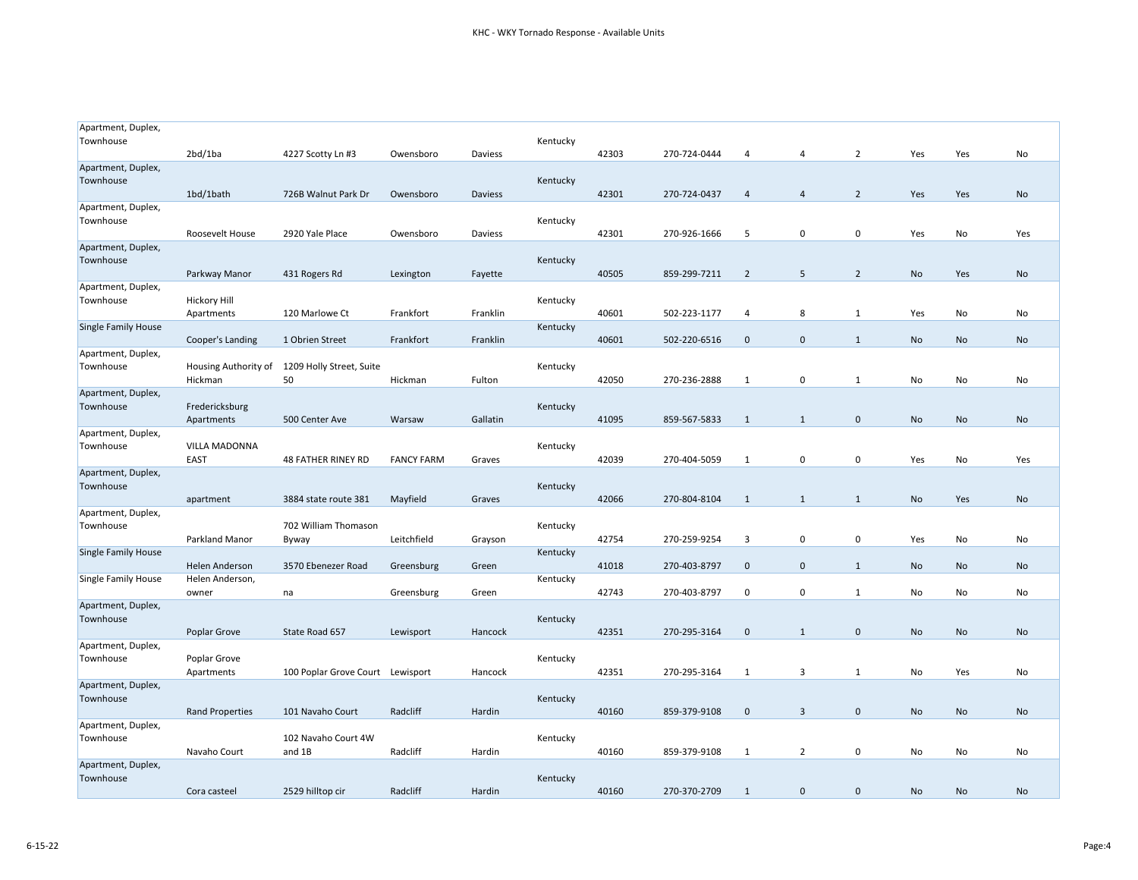| Apartment, Duplex,<br>Townhouse | 2bd/1ba                                  | 4227 Scotty Ln #3                             |                   |          | Kentucky | 42303 | 270-724-0444 |                |                | $\overline{2}$ |     |           | No        |
|---------------------------------|------------------------------------------|-----------------------------------------------|-------------------|----------|----------|-------|--------------|----------------|----------------|----------------|-----|-----------|-----------|
| Apartment, Duplex,              |                                          |                                               | Owensboro         | Daviess  |          |       |              | 4              | 4              |                | Yes | Yes       |           |
| Townhouse                       | 1bd/1bath                                | 726B Walnut Park Dr                           | Owensboro         | Daviess  | Kentucky | 42301 | 270-724-0437 | $\overline{4}$ | $\overline{4}$ | $\overline{2}$ | Yes | Yes       | No        |
| Apartment, Duplex,              |                                          |                                               |                   |          |          |       |              |                |                |                |     |           |           |
| Townhouse                       | Roosevelt House                          | 2920 Yale Place                               | Owensboro         | Daviess  | Kentucky | 42301 | 270-926-1666 | 5              | 0              | $\pmb{0}$      | Yes | No        | Yes       |
| Apartment, Duplex,<br>Townhouse |                                          |                                               |                   |          | Kentucky |       |              |                |                |                |     |           |           |
|                                 | Parkway Manor                            | 431 Rogers Rd                                 | Lexington         | Fayette  |          | 40505 | 859-299-7211 | 2              | 5              | $\overline{2}$ | No  | Yes       | No        |
| Apartment, Duplex,<br>Townhouse | <b>Hickory Hill</b>                      |                                               |                   |          | Kentucky |       |              |                |                |                |     |           |           |
|                                 | Apartments                               | 120 Marlowe Ct                                | Frankfort         | Franklin |          | 40601 | 502-223-1177 | 4              | 8              | 1              | Yes | No        | No        |
| <b>Single Family House</b>      | Cooper's Landing                         | 1 Obrien Street                               | Frankfort         | Franklin | Kentucky | 40601 | 502-220-6516 | $\mathbf 0$    | $\mathbf 0$    | $\mathbf{1}$   | No  | No        | No        |
| Apartment, Duplex,<br>Townhouse |                                          | Housing Authority of 1209 Holly Street, Suite |                   |          | Kentucky |       |              |                |                |                |     |           |           |
|                                 | Hickman                                  | 50                                            | Hickman           | Fulton   |          | 42050 | 270-236-2888 | 1              | 0              | $\mathbf{1}$   | No  | No        | No        |
| Apartment, Duplex,              |                                          |                                               |                   |          |          |       |              |                |                |                |     |           |           |
| Townhouse                       | Fredericksburg<br>Apartments             | 500 Center Ave                                | Warsaw            | Gallatin | Kentucky | 41095 | 859-567-5833 | 1              | 1              | $\mathbf 0$    | No  | <b>No</b> | No        |
| Apartment, Duplex,              |                                          |                                               |                   |          |          |       |              |                |                |                |     |           |           |
| Townhouse                       | VILLA MADONNA<br><b>EAST</b>             | <b>48 FATHER RINEY RD</b>                     | <b>FANCY FARM</b> | Graves   | Kentucky | 42039 | 270-404-5059 | 1              | 0              | $\mathbf 0$    | Yes | No        | Yes       |
| Apartment, Duplex,<br>Townhouse |                                          |                                               |                   |          | Kentucky |       |              |                |                |                |     |           |           |
|                                 | apartment                                | 3884 state route 381                          | Mayfield          | Graves   |          | 42066 | 270-804-8104 | 1              | $\mathbf{1}$   | $\mathbf{1}$   | No  | Yes       | No        |
| Apartment, Duplex,              |                                          |                                               |                   |          |          |       |              |                |                |                |     |           |           |
| Townhouse                       | Parkland Manor                           | 702 William Thomason<br>Byway                 | Leitchfield       | Grayson  | Kentucky | 42754 | 270-259-9254 | 3              | 0              | 0              | Yes | No        | No        |
| <b>Single Family House</b>      |                                          |                                               |                   |          | Kentucky |       |              |                |                |                |     |           |           |
| <b>Single Family House</b>      | <b>Helen Anderson</b><br>Helen Anderson, | 3570 Ebenezer Road                            | Greensburg        | Green    | Kentucky | 41018 | 270-403-8797 | $\mathbf 0$    | $\mathbf 0$    | $\mathbf{1}$   | No  | No        | No        |
|                                 | owner                                    | na                                            | Greensburg        | Green    |          | 42743 | 270-403-8797 | 0              | 0              | 1              | No  | No        | No        |
| Apartment, Duplex,              |                                          |                                               |                   |          |          |       |              |                |                |                |     |           |           |
| Townhouse                       | Poplar Grove                             | State Road 657                                | Lewisport         | Hancock  | Kentucky | 42351 | 270-295-3164 | $\mathbf 0$    | 1              | $\mathbf 0$    | No  | <b>No</b> | No        |
| Apartment, Duplex,              |                                          |                                               |                   |          |          |       |              |                |                |                |     |           |           |
| Townhouse                       | Poplar Grove                             |                                               |                   |          | Kentucky | 42351 | 270-295-3164 | 1              | 3              | 1              | No  | Yes       |           |
| Apartment, Duplex,              | Apartments                               | 100 Poplar Grove Court Lewisport              |                   | Hancock  |          |       |              |                |                |                |     |           | No        |
| Townhouse                       |                                          |                                               |                   |          | Kentucky |       |              |                |                |                |     |           |           |
| Apartment, Duplex,              | <b>Rand Properties</b>                   | 101 Navaho Court                              | Radcliff          | Hardin   |          | 40160 | 859-379-9108 | $\mathbf 0$    | 3              | $\mathbf 0$    | No  | No        | No        |
| Townhouse                       |                                          | 102 Navaho Court 4W                           |                   |          | Kentucky |       |              |                |                |                |     |           |           |
|                                 | Navaho Court                             | and 1B                                        | Radcliff          | Hardin   |          | 40160 | 859-379-9108 | 1              | $\overline{2}$ | 0              | No  | No        | No        |
| Apartment, Duplex,<br>Townhouse |                                          |                                               |                   |          | Kentucky |       |              |                |                |                |     |           |           |
|                                 | Cora casteel                             | 2529 hilltop cir                              | Radcliff          | Hardin   |          | 40160 | 270-370-2709 | $\mathbf{1}$   | $\mathbf 0$    | $\mathbf 0$    | No  | No        | <b>No</b> |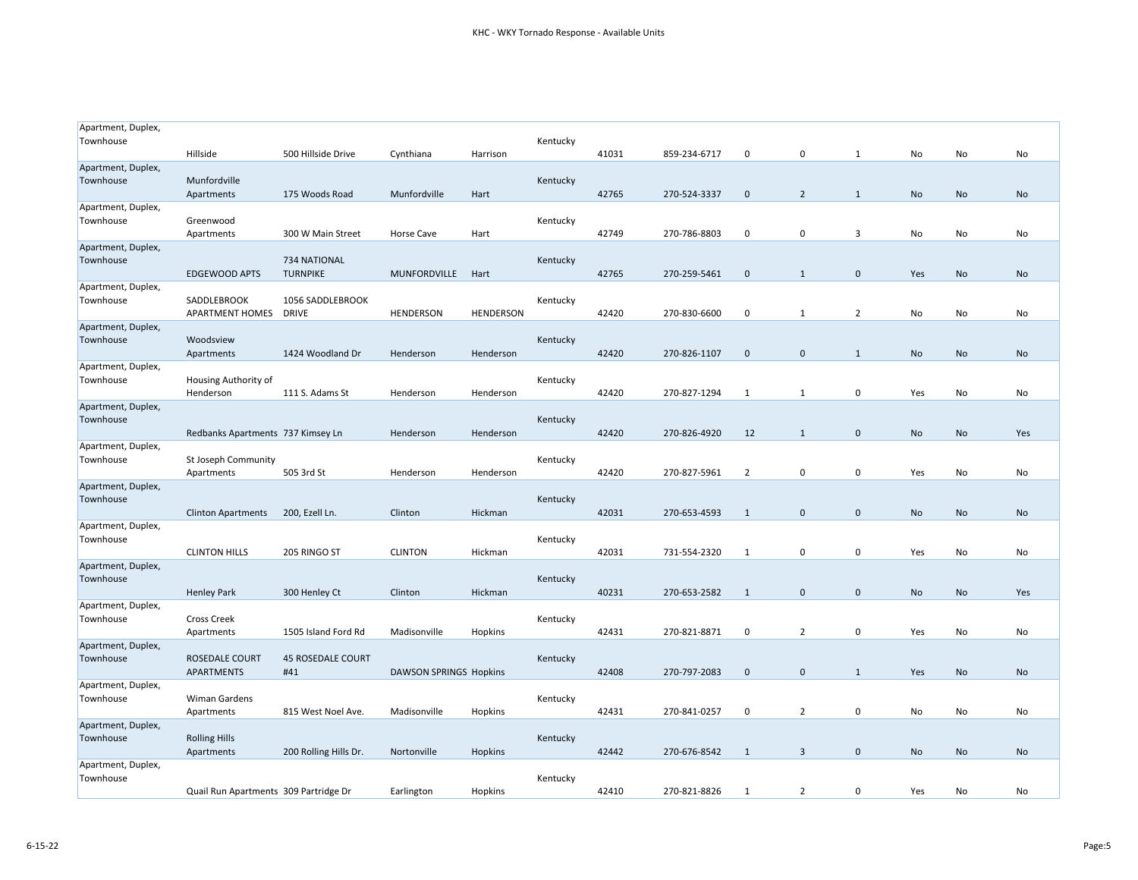| Apartment, Duplex,<br>Townhouse |                                       |                                  |                        |                  | Kentucky |       |              |                |                |                |           |           |           |
|---------------------------------|---------------------------------------|----------------------------------|------------------------|------------------|----------|-------|--------------|----------------|----------------|----------------|-----------|-----------|-----------|
|                                 | Hillside                              | 500 Hillside Drive               | Cynthiana              | Harrison         |          | 41031 | 859-234-6717 | $\mathbf 0$    | $\mathbf 0$    | 1              | No        | No        | No        |
| Apartment, Duplex,<br>Townhouse | Munfordville                          |                                  |                        |                  | Kentucky |       |              |                | $\overline{2}$ | $\mathbf{1}$   | No        |           | No        |
| Apartment, Duplex,              | Apartments                            | 175 Woods Road                   | Munfordville           | Hart             |          | 42765 | 270-524-3337 | $\mathbf 0$    |                |                |           | No        |           |
| Townhouse                       | Greenwood<br>Apartments               | 300 W Main Street                | Horse Cave             | Hart             | Kentucky | 42749 | 270-786-8803 | 0              | 0              | 3              | No        | No        | No        |
| Apartment, Duplex,<br>Townhouse | <b>EDGEWOOD APTS</b>                  | 734 NATIONAL<br><b>TURNPIKE</b>  | MUNFORDVILLE           | Hart             | Kentucky | 42765 | 270-259-5461 | $\mathbf{0}$   | $\mathbf{1}$   | $\mathbf 0$    | Yes       | No        | No        |
| Apartment, Duplex,<br>Townhouse | SADDLEBROOK<br><b>APARTMENT HOMES</b> | 1056 SADDLEBROOK<br><b>DRIVE</b> | <b>HENDERSON</b>       | <b>HENDERSON</b> | Kentucky | 42420 | 270-830-6600 | $\mathbf 0$    | 1              | $\overline{2}$ | No        | No        | No        |
| Apartment, Duplex,<br>Townhouse | Woodsview<br>Apartments               | 1424 Woodland Dr                 | Henderson              | Henderson        | Kentucky | 42420 | 270-826-1107 | $\mathbf 0$    | $\mathbf 0$    | 1              | No        | No        | No        |
| Apartment, Duplex,<br>Townhouse | Housing Authority of                  |                                  |                        |                  | Kentucky |       |              |                |                |                |           |           |           |
|                                 | Henderson                             | 111 S. Adams St                  | Henderson              | Henderson        |          | 42420 | 270-827-1294 | 1              | $\mathbf{1}$   | 0              | Yes       | No        | No        |
| Apartment, Duplex,<br>Townhouse | Redbanks Apartments 737 Kimsey Ln     |                                  | Henderson              | Henderson        | Kentucky | 42420 | 270-826-4920 | 12             | $\mathbf{1}$   | $\mathbf 0$    | No        | No        | Yes       |
| Apartment, Duplex,<br>Townhouse | St Joseph Community<br>Apartments     | 505 3rd St                       | Henderson              | Henderson        | Kentucky | 42420 | 270-827-5961 | $\overline{2}$ | $\mathbf 0$    | $\mathbf 0$    | Yes       | No        | No        |
| Apartment, Duplex,<br>Townhouse | <b>Clinton Apartments</b>             | 200, Ezell Ln.                   | Clinton                | Hickman          | Kentucky | 42031 | 270-653-4593 | $\mathbf{1}$   | $\mathbf 0$    | $\mathbf 0$    | <b>No</b> | <b>No</b> | No        |
| Apartment, Duplex,<br>Townhouse | <b>CLINTON HILLS</b>                  | 205 RINGO ST                     | <b>CLINTON</b>         | Hickman          | Kentucky | 42031 | 731-554-2320 | 1              | 0              | 0              | Yes       | No        | No        |
| Apartment, Duplex,<br>Townhouse | <b>Henley Park</b>                    | 300 Henley Ct                    | Clinton                | Hickman          | Kentucky | 40231 | 270-653-2582 | 1              | $\mathbf{0}$   | $\mathbf{0}$   | No        | No        | Yes       |
| Apartment, Duplex,<br>Townhouse | <b>Cross Creek</b><br>Apartments      | 1505 Island Ford Rd              | Madisonville           | Hopkins          | Kentucky | 42431 | 270-821-8871 | $\mathbf 0$    | $\overline{2}$ | 0              | Yes       | No        | No        |
| Apartment, Duplex,<br>Townhouse | ROSEDALE COURT<br><b>APARTMENTS</b>   | <b>45 ROSEDALE COURT</b><br>#41  | DAWSON SPRINGS Hopkins |                  | Kentucky | 42408 | 270-797-2083 | $\mathbf 0$    | $\mathbf 0$    | $\mathbf{1}$   | Yes       | No        | <b>No</b> |
| Apartment, Duplex,<br>Townhouse | Wiman Gardens<br>Apartments           | 815 West Noel Ave.               | Madisonville           | Hopkins          | Kentucky | 42431 | 270-841-0257 | 0              | $\overline{2}$ | 0              | No        | No        | No        |
| Apartment, Duplex,<br>Townhouse | <b>Rolling Hills</b><br>Apartments    | 200 Rolling Hills Dr.            | Nortonville            | Hopkins          | Kentucky | 42442 | 270-676-8542 | 1              | 3              | $\mathbf 0$    | No        | <b>No</b> | No        |
| Apartment, Duplex,<br>Townhouse | Quail Run Apartments 309 Partridge Dr |                                  | Earlington             | Hopkins          | Kentucky | 42410 | 270-821-8826 | 1              | $\overline{2}$ | 0              | Yes       | No        | No        |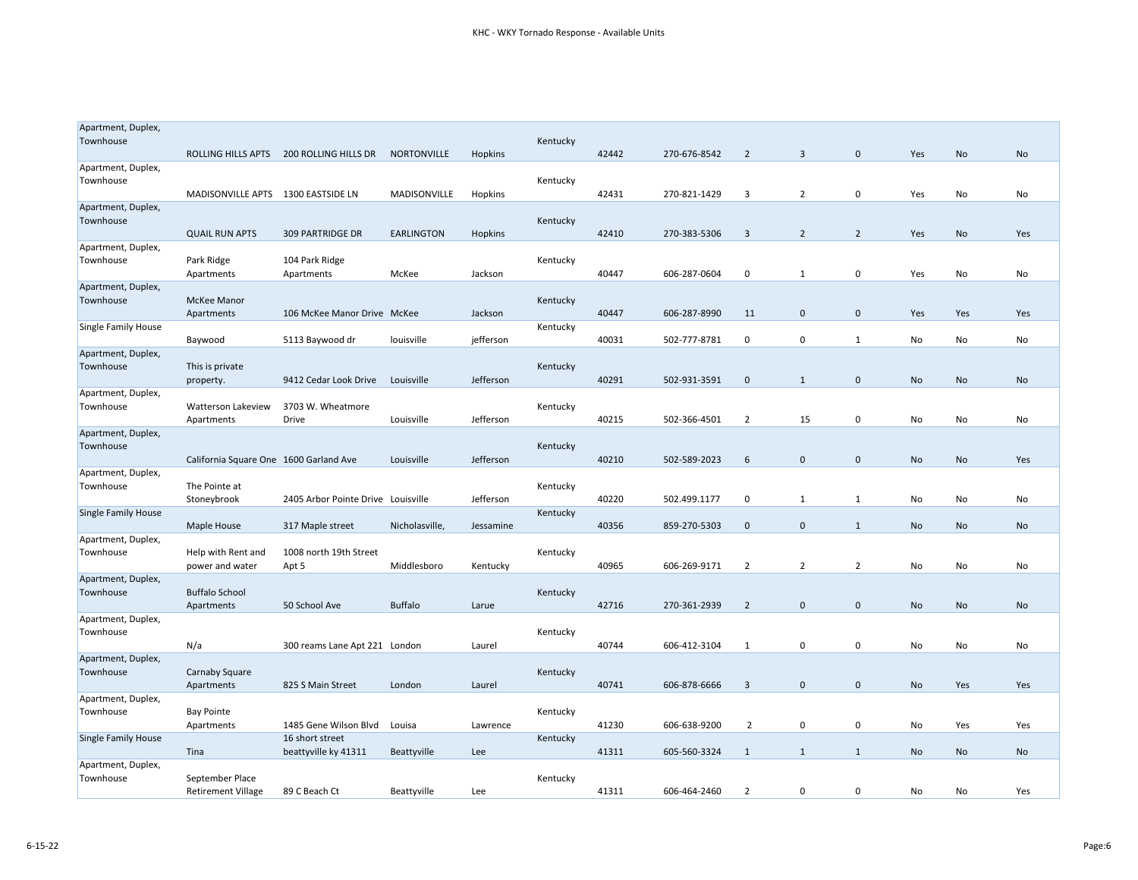| Apartment, Duplex,         |                                        |                                    |                   |           |          |       |              |                |                |                |     |           |     |
|----------------------------|----------------------------------------|------------------------------------|-------------------|-----------|----------|-------|--------------|----------------|----------------|----------------|-----|-----------|-----|
| Townhouse                  |                                        |                                    |                   |           | Kentucky |       |              |                |                |                |     |           |     |
|                            | <b>ROLLING HILLS APTS</b>              | 200 ROLLING HILLS DR               | NORTONVILLE       | Hopkins   |          | 42442 | 270-676-8542 | $\overline{2}$ | $\overline{3}$ | $\mathbf 0$    | Yes | No        | No  |
| Apartment, Duplex,         |                                        |                                    |                   |           |          |       |              |                |                |                |     |           |     |
| Townhouse                  |                                        |                                    |                   |           | Kentucky |       |              |                |                |                |     |           |     |
|                            | MADISONVILLE APTS 1300 EASTSIDE LN     |                                    | MADISONVILLE      | Hopkins   |          | 42431 | 270-821-1429 | 3              | 2              | $\mathbf 0$    | Yes | No        | No  |
| Apartment, Duplex,         |                                        |                                    |                   |           |          |       |              |                |                |                |     |           |     |
| Townhouse                  |                                        |                                    |                   |           | Kentucky |       |              |                |                |                |     |           |     |
|                            | <b>QUAIL RUN APTS</b>                  | <b>309 PARTRIDGE DR</b>            | <b>EARLINGTON</b> | Hopkins   |          | 42410 | 270-383-5306 | 3              | $\overline{2}$ | $\overline{2}$ | Yes | No        | Yes |
| Apartment, Duplex,         |                                        |                                    |                   |           |          |       |              |                |                |                |     |           |     |
| Townhouse                  | Park Ridge                             | 104 Park Ridge                     |                   |           | Kentucky |       |              |                |                |                |     |           |     |
|                            | Apartments                             | Apartments                         | McKee             | Jackson   |          | 40447 | 606-287-0604 | $\mathbf 0$    | 1              | $\mathbf 0$    | Yes | No        | No  |
| Apartment, Duplex,         |                                        |                                    |                   |           |          |       |              |                |                |                |     |           |     |
| Townhouse                  | <b>McKee Manor</b>                     |                                    |                   |           | Kentucky |       |              |                |                |                |     |           |     |
|                            | Apartments                             | 106 McKee Manor Drive McKee        |                   | Jackson   |          | 40447 | 606-287-8990 | 11             | $\mathbf{0}$   | $\pmb{0}$      | Yes | Yes       | Yes |
| <b>Single Family House</b> |                                        |                                    |                   |           | Kentucky |       |              |                |                |                |     |           |     |
|                            | Baywood                                | 5113 Baywood dr                    | louisville        | jefferson |          | 40031 | 502-777-8781 | $\mathbf 0$    | 0              | $\mathbf{1}$   | No  | No        | No  |
| Apartment, Duplex,         |                                        |                                    |                   |           |          |       |              |                |                |                |     |           |     |
| Townhouse                  | This is private                        |                                    |                   |           | Kentucky |       |              |                |                |                |     |           |     |
|                            | property.                              | 9412 Cedar Look Drive              | Louisville        | Jefferson |          | 40291 | 502-931-3591 | $\mathbf 0$    | $\mathbf{1}$   | $\pmb{0}$      | No  | No        | No  |
| Apartment, Duplex,         |                                        |                                    |                   |           |          |       |              |                |                |                |     |           |     |
| Townhouse                  | Watterson Lakeview                     | 3703 W. Wheatmore                  |                   |           | Kentucky |       |              |                |                |                |     |           |     |
|                            | Apartments                             | Drive                              | Louisville        | Jefferson |          | 40215 | 502-366-4501 | 2              | 15             | 0              | No  | No        | No  |
| Apartment, Duplex,         |                                        |                                    |                   |           |          |       |              |                |                |                |     |           |     |
| Townhouse                  |                                        |                                    |                   |           | Kentucky |       |              |                |                |                |     |           |     |
|                            | California Square One 1600 Garland Ave |                                    | Louisville        | Jefferson |          | 40210 | 502-589-2023 | 6              | $\mathbf{0}$   | $\mathbf 0$    | No  | No        | Yes |
| Apartment, Duplex,         |                                        |                                    |                   |           |          |       |              |                |                |                |     |           |     |
| Townhouse                  | The Pointe at                          |                                    |                   |           | Kentucky |       |              |                |                |                |     |           |     |
|                            | Stoneybrook                            | 2405 Arbor Pointe Drive Louisville |                   | Jefferson |          | 40220 | 502.499.1177 | 0              | 1              | 1              | No  | No        | No  |
| <b>Single Family House</b> |                                        |                                    |                   |           | Kentucky |       |              |                |                |                |     |           |     |
|                            | Maple House                            | 317 Maple street                   | Nicholasville,    | Jessamine |          | 40356 | 859-270-5303 | $\mathbf 0$    | $\mathbf 0$    | $\mathbf{1}$   | No  | No        | No  |
| Apartment, Duplex,         |                                        |                                    |                   |           |          |       |              |                |                |                |     |           |     |
| Townhouse                  | Help with Rent and                     | 1008 north 19th Street             |                   |           | Kentucky |       |              |                |                |                |     |           |     |
|                            | power and water                        | Apt 5                              | Middlesboro       | Kentucky  |          | 40965 | 606-269-9171 | 2              | 2              | 2              | No  | No        | No  |
| Apartment, Duplex,         |                                        |                                    |                   |           |          |       |              |                |                |                |     |           |     |
| Townhouse                  | <b>Buffalo School</b>                  |                                    |                   |           | Kentucky |       |              |                |                |                |     |           |     |
|                            | Apartments                             | 50 School Ave                      | <b>Buffalo</b>    | Larue     |          | 42716 | 270-361-2939 | $\overline{2}$ | 0              | $\mathbf 0$    | No  | <b>No</b> | No  |
| Apartment, Duplex,         |                                        |                                    |                   |           |          |       |              |                |                |                |     |           |     |
| Townhouse                  |                                        |                                    |                   |           | Kentucky |       |              |                |                |                |     |           |     |
|                            | N/a                                    | 300 reams Lane Apt 221 London      |                   | Laurel    |          | 40744 | 606-412-3104 | 1              | 0              | $\mathbf 0$    | No  | No        | No  |
| Apartment, Duplex,         |                                        |                                    |                   |           |          |       |              |                |                |                |     |           |     |
| Townhouse                  | Carnaby Square                         |                                    |                   |           | Kentucky |       |              |                |                |                |     |           |     |
|                            | Apartments                             | 825 S Main Street                  | London            | Laurel    |          | 40741 | 606-878-6666 | 3              | $\mathbf 0$    | $\mathbf 0$    | No  | Yes       | Yes |
| Apartment, Duplex,         |                                        |                                    |                   |           |          |       |              |                |                |                |     |           |     |
| Townhouse                  | <b>Bay Pointe</b>                      |                                    |                   |           | Kentucky |       |              |                |                |                |     |           |     |
|                            | Apartments                             | 1485 Gene Wilson Blvd              | Louisa            | Lawrence  |          | 41230 | 606-638-9200 | $\overline{2}$ | 0              | $\mathbf 0$    | No  | Yes       | Yes |
| Single Family House        |                                        | 16 short street                    |                   |           | Kentucky |       |              |                |                |                |     |           |     |
|                            | Tina                                   | beattyville ky 41311               | Beattyville       | Lee       |          | 41311 | 605-560-3324 | 1              | $\mathbf{1}$   | $\mathbf{1}$   | No  | No        | No  |
| Apartment, Duplex,         |                                        |                                    |                   |           |          |       |              |                |                |                |     |           |     |
| Townhouse                  | September Place                        |                                    |                   |           | Kentucky |       |              |                |                |                |     |           |     |
|                            | <b>Retirement Village</b>              | 89 C Beach Ct                      | Beattyville       | Lee       |          | 41311 | 606-464-2460 | $\overline{2}$ | 0              | $\mathbf 0$    | No  | No        | Yes |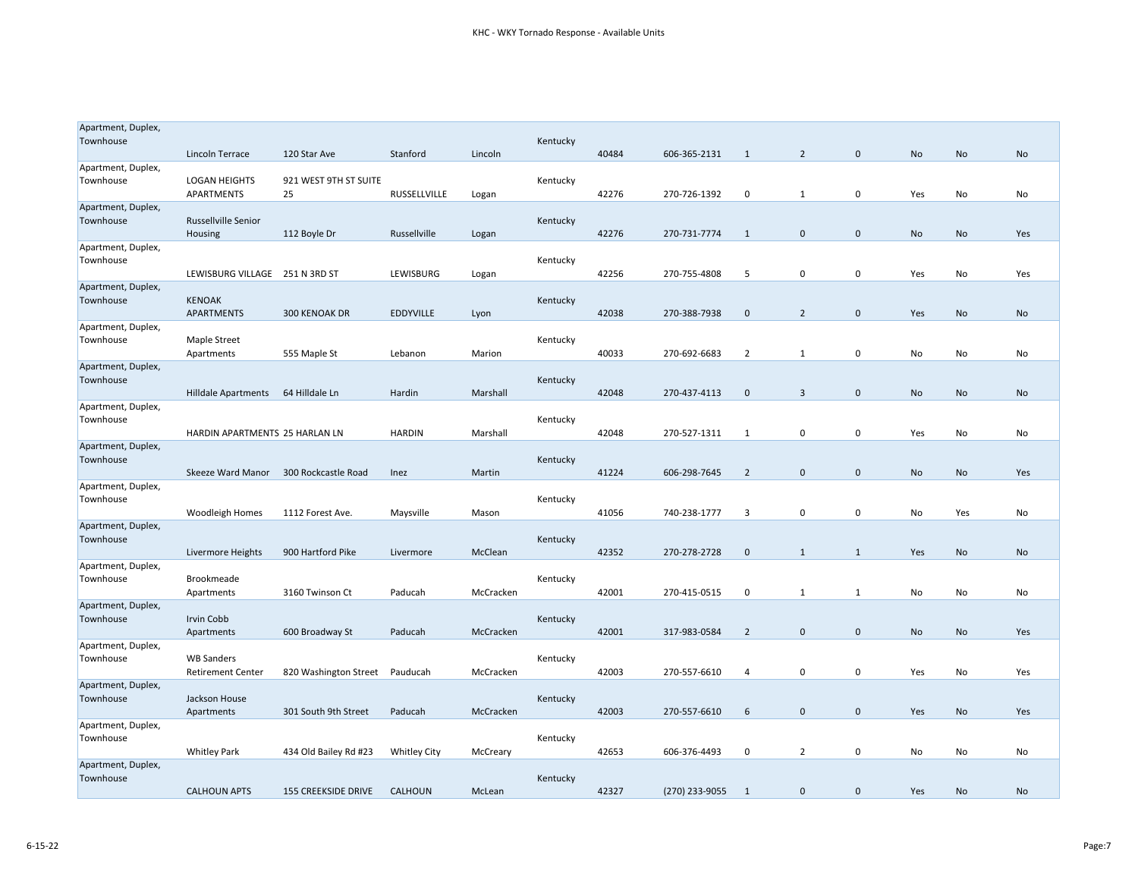| Apartment, Duplex,              |                                       |                            |                     |           |          |       |                |                |                |              |     |     |           |
|---------------------------------|---------------------------------------|----------------------------|---------------------|-----------|----------|-------|----------------|----------------|----------------|--------------|-----|-----|-----------|
| Townhouse                       | Lincoln Terrace                       | 120 Star Ave               | Stanford            | Lincoln   | Kentucky | 40484 | 606-365-2131   | 1              | $\overline{2}$ | $\mathbf 0$  | No  | No  | No        |
| Apartment, Duplex,              |                                       |                            |                     |           |          |       |                |                |                |              |     |     |           |
| Townhouse                       | <b>LOGAN HEIGHTS</b>                  | 921 WEST 9TH ST SUITE      |                     |           | Kentucky |       |                |                |                |              |     |     |           |
|                                 | APARTMENTS                            | 25                         | RUSSELLVILLE        | Logan     |          | 42276 | 270-726-1392   | 0              | $\mathbf{1}$   | 0            | Yes | No  | No        |
| Apartment, Duplex,              |                                       |                            |                     |           |          |       |                |                |                |              |     |     |           |
| Townhouse                       | <b>Russellville Senior</b><br>Housing | 112 Boyle Dr               | Russellville        | Logan     | Kentucky | 42276 | 270-731-7774   | 1              | 0              | $\mathbf{0}$ | No  | No  | Yes       |
| Apartment, Duplex,              |                                       |                            |                     |           |          |       |                |                |                |              |     |     |           |
| Townhouse                       |                                       |                            |                     |           | Kentucky |       |                |                |                |              |     |     |           |
|                                 | LEWISBURG VILLAGE                     | 251 N 3RD ST               | LEWISBURG           | Logan     |          | 42256 | 270-755-4808   | 5              | 0              | $\mathbf 0$  | Yes | No  | Yes       |
| Apartment, Duplex,<br>Townhouse | <b>KENOAK</b>                         |                            |                     |           | Kentucky |       |                |                |                |              |     |     |           |
|                                 | APARTMENTS                            | 300 KENOAK DR              | <b>EDDYVILLE</b>    | Lyon      |          | 42038 | 270-388-7938   | $\mathbf 0$    | $\overline{2}$ | $\mathbf 0$  | Yes | No  | No        |
| Apartment, Duplex,              |                                       |                            |                     |           |          |       |                |                |                |              |     |     |           |
| Townhouse                       | Maple Street                          |                            |                     |           | Kentucky |       |                |                |                |              |     |     |           |
|                                 | Apartments                            | 555 Maple St               | Lebanon             | Marion    |          | 40033 | 270-692-6683   | $\overline{2}$ | $\mathbf{1}$   | 0            | No  | No  | No        |
| Apartment, Duplex,<br>Townhouse |                                       |                            |                     |           | Kentucky |       |                |                |                |              |     |     |           |
|                                 | Hilldale Apartments                   | 64 Hilldale Ln             | Hardin              | Marshall  |          | 42048 | 270-437-4113   | $\mathbf 0$    | 3              | $\mathbf 0$  | No  | No  | No        |
| Apartment, Duplex,              |                                       |                            |                     |           |          |       |                |                |                |              |     |     |           |
| Townhouse                       |                                       |                            |                     |           | Kentucky |       |                |                |                |              |     |     |           |
| Apartment, Duplex,              | HARDIN APARTMENTS 25 HARLAN LN        |                            | <b>HARDIN</b>       | Marshall  |          | 42048 | 270-527-1311   | 1              | 0              | $\mathbf 0$  | Yes | No  | No        |
| Townhouse                       |                                       |                            |                     |           | Kentucky |       |                |                |                |              |     |     |           |
|                                 | Skeeze Ward Manor                     | 300 Rockcastle Road        | Inez                | Martin    |          | 41224 | 606-298-7645   | $\overline{2}$ | $\mathbf 0$    | $\pmb{0}$    | No  | No  | Yes       |
| Apartment, Duplex,              |                                       |                            |                     |           |          |       |                |                |                |              |     |     |           |
| Townhouse                       | <b>Woodleigh Homes</b>                | 1112 Forest Ave.           | Maysville           | Mason     | Kentucky | 41056 | 740-238-1777   | 3              | 0              | 0            | No  | Yes | No        |
| Apartment, Duplex,              |                                       |                            |                     |           |          |       |                |                |                |              |     |     |           |
| Townhouse                       |                                       |                            |                     |           | Kentucky |       |                |                |                |              |     |     |           |
|                                 | Livermore Heights                     | 900 Hartford Pike          | Livermore           | McClean   |          | 42352 | 270-278-2728   | $\mathbf 0$    | $\mathbf{1}$   | 1            | Yes | No  | No        |
| Apartment, Duplex,<br>Townhouse | <b>Brookmeade</b>                     |                            |                     |           | Kentucky |       |                |                |                |              |     |     |           |
|                                 | Apartments                            | 3160 Twinson Ct            | Paducah             | McCracken |          | 42001 | 270-415-0515   | 0              | $\mathbf{1}$   | 1            | No  | No  | No        |
| Apartment, Duplex,              |                                       |                            |                     |           |          |       |                |                |                |              |     |     |           |
| Townhouse                       | Irvin Cobb                            |                            |                     |           | Kentucky |       |                |                |                |              |     |     |           |
|                                 | Apartments                            | 600 Broadway St            | Paducah             | McCracken |          | 42001 | 317-983-0584   | $\overline{2}$ | $\mathbf{0}$   | $\mathbf 0$  | No  | No  | Yes       |
| Apartment, Duplex,<br>Townhouse | <b>WB Sanders</b>                     |                            |                     |           | Kentucky |       |                |                |                |              |     |     |           |
|                                 | <b>Retirement Center</b>              | 820 Washington Street      | Pauducah            | McCracken |          | 42003 | 270-557-6610   | 4              | $\mathbf 0$    | $\mathsf 0$  | Yes | No  | Yes       |
| Apartment, Duplex,              |                                       |                            |                     |           |          |       |                |                |                |              |     |     |           |
| Townhouse                       | Jackson House                         |                            |                     |           | Kentucky |       |                |                |                |              |     |     |           |
| Apartment, Duplex,              | Apartments                            | 301 South 9th Street       | Paducah             | McCracken |          | 42003 | 270-557-6610   | 6              | $\mathbf 0$    | $\mathbf 0$  | Yes | No  | Yes       |
| Townhouse                       |                                       |                            |                     |           | Kentucky |       |                |                |                |              |     |     |           |
|                                 | <b>Whitley Park</b>                   | 434 Old Bailey Rd #23      | <b>Whitley City</b> | McCreary  |          | 42653 | 606-376-4493   | 0              | 2              | 0            | No  | No  | No        |
| Apartment, Duplex,              |                                       |                            |                     |           |          |       |                |                |                |              |     |     |           |
| Townhouse                       |                                       |                            |                     |           | Kentucky |       |                |                |                |              |     |     |           |
|                                 | <b>CALHOUN APTS</b>                   | <b>155 CREEKSIDE DRIVE</b> | <b>CALHOUN</b>      | McLean    |          | 42327 | (270) 233-9055 | -1             | $\mathbf 0$    | $\mathbf 0$  | Yes | No  | <b>No</b> |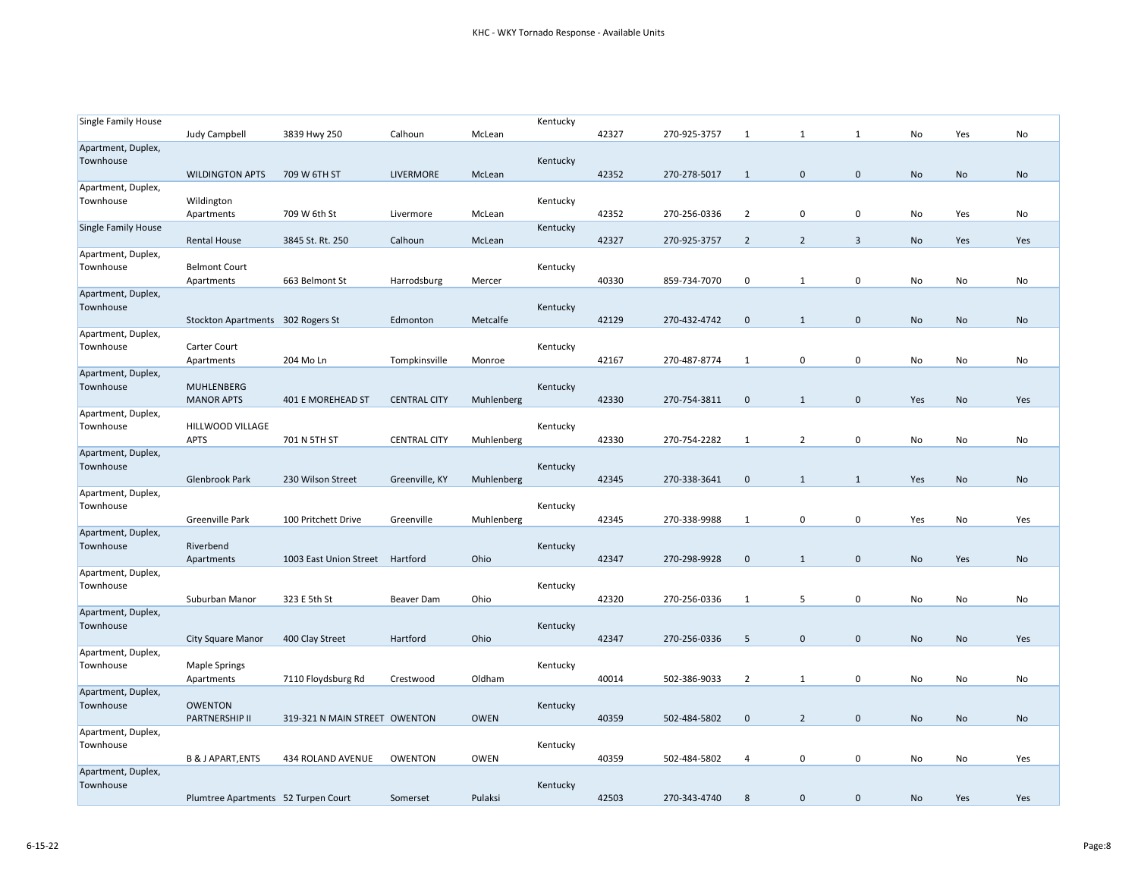| <b>Single Family House</b>      |                                        |                                 |                     |             | Kentucky |       |              |                |                |              |     |     |           |
|---------------------------------|----------------------------------------|---------------------------------|---------------------|-------------|----------|-------|--------------|----------------|----------------|--------------|-----|-----|-----------|
|                                 | <b>Judy Campbell</b>                   | 3839 Hwy 250                    | Calhoun             | McLean      |          | 42327 | 270-925-3757 | 1              | 1              | 1            | No  | Yes | No        |
| Apartment, Duplex,<br>Townhouse | <b>WILDINGTON APTS</b>                 | 709 W 6TH ST                    | LIVERMORE           | McLean      | Kentucky | 42352 | 270-278-5017 | 1              | 0              | $\mathbf 0$  | No  | No  | <b>No</b> |
| Apartment, Duplex,<br>Townhouse | Wildington<br>Apartments               | 709 W 6th St                    | Livermore           | McLean      | Kentucky | 42352 | 270-256-0336 | $\overline{2}$ | 0              | $\mathbf 0$  | No  | Yes | No        |
| <b>Single Family House</b>      | <b>Rental House</b>                    | 3845 St. Rt. 250                | Calhoun             | McLean      | Kentucky | 42327 | 270-925-3757 | $\overline{2}$ | $\overline{2}$ | $\mathbf{3}$ | No  | Yes | Yes       |
| Apartment, Duplex,<br>Townhouse | <b>Belmont Court</b><br>Apartments     | 663 Belmont St                  | Harrodsburg         | Mercer      | Kentucky | 40330 | 859-734-7070 | 0              | 1              | 0            | No  | No  | No        |
| Apartment, Duplex,<br>Townhouse | Stockton Apartments 302 Rogers St      |                                 | Edmonton            | Metcalfe    | Kentucky | 42129 | 270-432-4742 | $\mathbf 0$    | $\mathbf{1}$   | $\pmb{0}$    | No  | No  | No        |
| Apartment, Duplex,<br>Townhouse | Carter Court<br>Apartments             | 204 Mo Ln                       | Tompkinsville       | Monroe      | Kentucky | 42167 | 270-487-8774 | 1              | 0              | $\mathbf 0$  | No  | No  | No        |
| Apartment, Duplex,<br>Townhouse | <b>MUHLENBERG</b><br><b>MANOR APTS</b> | 401 E MOREHEAD ST               | <b>CENTRAL CITY</b> | Muhlenberg  | Kentucky | 42330 | 270-754-3811 | $\mathbf{0}$   | $\mathbf{1}$   | $\mathbf 0$  | Yes | No  | Yes       |
| Apartment, Duplex,<br>Townhouse | HILLWOOD VILLAGE<br><b>APTS</b>        | 701 N 5TH ST                    | <b>CENTRAL CITY</b> | Muhlenberg  | Kentucky | 42330 | 270-754-2282 | 1              | $\overline{2}$ | $\mathbf 0$  | No  | No  | No        |
| Apartment, Duplex,<br>Townhouse | Glenbrook Park                         | 230 Wilson Street               | Greenville, KY      | Muhlenberg  | Kentucky | 42345 | 270-338-3641 | $\mathbf{0}$   | 1              | 1            | Yes | No  | No        |
| Apartment, Duplex,<br>Townhouse | Greenville Park                        | 100 Pritchett Drive             | Greenville          | Muhlenberg  | Kentucky | 42345 | 270-338-9988 | 1              | 0              | $\pmb{0}$    | Yes | No  | Yes       |
| Apartment, Duplex,<br>Townhouse | Riverbend<br>Apartments                | 1003 East Union Street Hartford |                     | Ohio        | Kentucky | 42347 | 270-298-9928 | $\mathbf 0$    | $\mathbf{1}$   | $\mathbf 0$  | No  | Yes | No        |
| Apartment, Duplex,<br>Townhouse | Suburban Manor                         | 323 E 5th St                    | Beaver Dam          | Ohio        | Kentucky | 42320 | 270-256-0336 | 1              | 5              | $\mathbf 0$  | No  | No  | No        |
| Apartment, Duplex,<br>Townhouse | <b>City Square Manor</b>               | 400 Clay Street                 | Hartford            | Ohio        | Kentucky | 42347 | 270-256-0336 | 5              | $\mathbf 0$    | $\mathbf 0$  | No  | No  | Yes       |
| Apartment, Duplex,<br>Townhouse | <b>Maple Springs</b><br>Apartments     | 7110 Floydsburg Rd              | Crestwood           | Oldham      | Kentucky | 40014 | 502-386-9033 | $\overline{2}$ | $\mathbf{1}$   | $\mathbf 0$  | No  | No  | No        |
| Apartment, Duplex,<br>Townhouse | <b>OWENTON</b><br>PARTNERSHIP II       | 319-321 N MAIN STREET OWENTON   |                     | <b>OWEN</b> | Kentucky | 40359 | 502-484-5802 | $\mathbf 0$    | $\overline{2}$ | $\mathbf 0$  | No  | No  | No        |
| Apartment, Duplex,<br>Townhouse | <b>B &amp; J APART, ENTS</b>           | 434 ROLAND AVENUE               | <b>OWENTON</b>      | <b>OWEN</b> | Kentucky | 40359 | 502-484-5802 | 4              | 0              | $\mathbf 0$  | No  | No  | Yes       |
| Apartment, Duplex,<br>Townhouse | Plumtree Apartments 52 Turpen Court    |                                 | Somerset            | Pulaksi     | Kentucky | 42503 | 270-343-4740 | 8              | 0              | $\mathbf 0$  | No  | Yes | Yes       |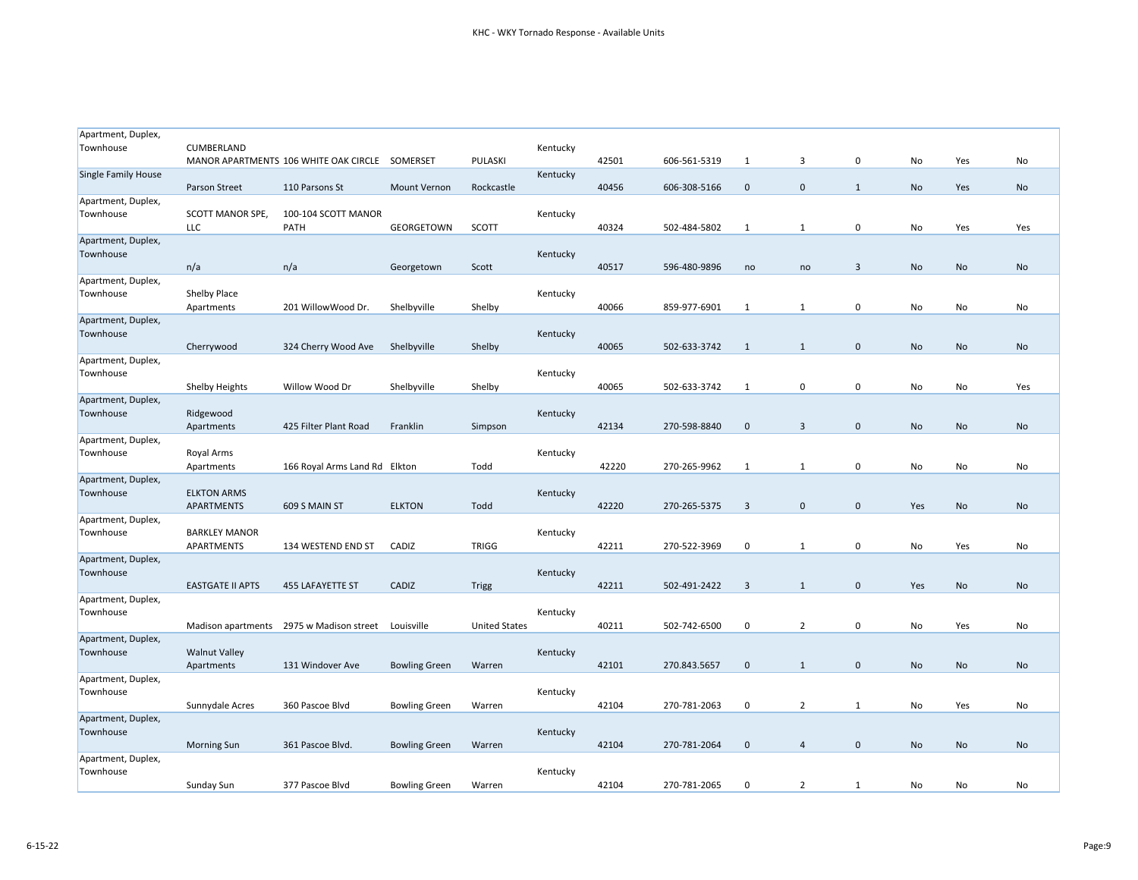| Apartment, Duplex,              |                                |                                                |                      |                      |          |       |              |                |              |                         |     |           |     |
|---------------------------------|--------------------------------|------------------------------------------------|----------------------|----------------------|----------|-------|--------------|----------------|--------------|-------------------------|-----|-----------|-----|
| Townhouse                       | CUMBERLAND                     |                                                |                      |                      | Kentucky |       |              |                |              |                         |     |           |     |
|                                 |                                | MANOR APARTMENTS 106 WHITE OAK CIRCLE SOMERSET |                      | PULASKI              |          | 42501 | 606-561-5319 | 1              | 3            | $\mathbf 0$             | No  | Yes       | No  |
| <b>Single Family House</b>      |                                |                                                |                      |                      | Kentucky |       |              |                |              |                         |     |           |     |
|                                 | Parson Street                  | 110 Parsons St                                 | <b>Mount Vernon</b>  | Rockcastle           |          | 40456 | 606-308-5166 | $\mathbf 0$    | $\mathbf 0$  | 1                       | No  | Yes       | No  |
| Apartment, Duplex,              |                                |                                                |                      |                      |          |       |              |                |              |                         |     |           |     |
| Townhouse                       | SCOTT MANOR SPE,<br><b>LLC</b> | 100-104 SCOTT MANOR<br>PATH                    |                      | SCOTT                | Kentucky |       | 502-484-5802 |                |              |                         |     |           |     |
| Apartment, Duplex,              |                                |                                                | GEORGETOWN           |                      |          | 40324 |              | 1              | 1            | 0                       | No  | Yes       | Yes |
| Townhouse                       |                                |                                                |                      |                      | Kentucky |       |              |                |              |                         |     |           |     |
|                                 | n/a                            | n/a                                            | Georgetown           | Scott                |          | 40517 | 596-480-9896 | no             | no           | $\overline{\mathbf{3}}$ | No  | No        | No  |
| Apartment, Duplex,              |                                |                                                |                      |                      |          |       |              |                |              |                         |     |           |     |
| Townhouse                       | Shelby Place                   |                                                |                      |                      | Kentucky |       |              |                |              |                         |     |           |     |
|                                 | Apartments                     | 201 WillowWood Dr.                             | Shelbyville          | Shelby               |          | 40066 | 859-977-6901 | 1              | 1            | $\mathbf 0$             | No  | No        | No  |
| Apartment, Duplex,              |                                |                                                |                      |                      |          |       |              |                |              |                         |     |           |     |
| Townhouse                       |                                |                                                |                      |                      | Kentucky |       |              |                |              |                         |     |           |     |
|                                 | Cherrywood                     | 324 Cherry Wood Ave                            | Shelbyville          | Shelby               |          | 40065 | 502-633-3742 | 1              | 1            | $\mathbf 0$             | No  | <b>No</b> | No  |
| Apartment, Duplex,              |                                |                                                |                      |                      |          |       |              |                |              |                         |     |           |     |
| Townhouse                       |                                |                                                |                      |                      | Kentucky |       |              |                |              |                         |     |           |     |
|                                 | Shelby Heights                 | Willow Wood Dr                                 | Shelbyville          | Shelby               |          | 40065 | 502-633-3742 | 1              | 0            | $\mathbf 0$             | No  | No        | Yes |
| Apartment, Duplex,              |                                |                                                |                      |                      |          |       |              |                |              |                         |     |           |     |
| Townhouse                       | Ridgewood                      |                                                |                      |                      | Kentucky |       |              |                |              |                         |     |           |     |
|                                 | Apartments                     | 425 Filter Plant Road                          | Franklin             | Simpson              |          | 42134 | 270-598-8840 | $\mathbf 0$    | 3            | $\mathbf 0$             | No  | No        | No  |
| Apartment, Duplex,              |                                |                                                |                      |                      |          |       |              |                |              |                         |     |           |     |
| Townhouse                       | Royal Arms                     |                                                |                      |                      | Kentucky |       |              |                |              |                         |     |           |     |
|                                 | Apartments                     | 166 Royal Arms Land Rd Elkton                  |                      | Todd                 |          | 42220 | 270-265-9962 | 1              | $\mathbf{1}$ | $\mathbf 0$             | No  | No        | No  |
| Apartment, Duplex,<br>Townhouse | <b>ELKTON ARMS</b>             |                                                |                      |                      | Kentucky |       |              |                |              |                         |     |           |     |
|                                 | <b>APARTMENTS</b>              | 609 S MAIN ST                                  | <b>ELKTON</b>        | Todd                 |          | 42220 | 270-265-5375 | $\overline{3}$ | $\mathbf 0$  | $\mathbf 0$             | Yes | No        | No  |
| Apartment, Duplex,              |                                |                                                |                      |                      |          |       |              |                |              |                         |     |           |     |
| Townhouse                       | <b>BARKLEY MANOR</b>           |                                                |                      |                      | Kentucky |       |              |                |              |                         |     |           |     |
|                                 | APARTMENTS                     | 134 WESTEND END ST                             | CADIZ                | <b>TRIGG</b>         |          | 42211 | 270-522-3969 | 0              | $\mathbf{1}$ | 0                       | No  | Yes       | No  |
| Apartment, Duplex,              |                                |                                                |                      |                      |          |       |              |                |              |                         |     |           |     |
| Townhouse                       |                                |                                                |                      |                      | Kentucky |       |              |                |              |                         |     |           |     |
|                                 | <b>EASTGATE II APTS</b>        | <b>455 LAFAYETTE ST</b>                        | CADIZ                | Trigg                |          | 42211 | 502-491-2422 | 3              | 1            | $\mathbf{0}$            | Yes | No        | No  |
| Apartment, Duplex,              |                                |                                                |                      |                      |          |       |              |                |              |                         |     |           |     |
| Townhouse                       |                                |                                                |                      |                      | Kentucky |       |              |                |              |                         |     |           |     |
|                                 | Madison apartments             | 2975 w Madison street                          | Louisville           | <b>United States</b> |          | 40211 | 502-742-6500 | 0              | 2            | 0                       | No  | Yes       | No  |
| Apartment, Duplex,              |                                |                                                |                      |                      |          |       |              |                |              |                         |     |           |     |
| Townhouse                       | <b>Walnut Valley</b>           |                                                |                      |                      | Kentucky |       |              |                |              |                         |     |           |     |
|                                 | Apartments                     | 131 Windover Ave                               | <b>Bowling Green</b> | Warren               |          | 42101 | 270.843.5657 | $\mathbf 0$    | $\mathbf{1}$ | $\mathbf 0$             | No  | No        | No  |
| Apartment, Duplex,<br>Townhouse |                                |                                                |                      |                      |          |       |              |                |              |                         |     |           |     |
|                                 | Sunnydale Acres                | 360 Pascoe Blvd                                |                      |                      | Kentucky | 42104 | 270-781-2063 | 0              | 2            | 1                       | No  | Yes       | No  |
| Apartment, Duplex,              |                                |                                                | <b>Bowling Green</b> | Warren               |          |       |              |                |              |                         |     |           |     |
| Townhouse                       |                                |                                                |                      |                      | Kentucky |       |              |                |              |                         |     |           |     |
|                                 | <b>Morning Sun</b>             | 361 Pascoe Blvd.                               | <b>Bowling Green</b> | Warren               |          | 42104 | 270-781-2064 | $\mathbf 0$    | 4            | $\mathbf 0$             | No  | No        | No  |
| Apartment, Duplex,              |                                |                                                |                      |                      |          |       |              |                |              |                         |     |           |     |
| Townhouse                       |                                |                                                |                      |                      | Kentucky |       |              |                |              |                         |     |           |     |
|                                 | Sunday Sun                     | 377 Pascoe Blvd                                | <b>Bowling Green</b> | Warren               |          | 42104 | 270-781-2065 | 0              | 2            | 1                       | No  | No        | No  |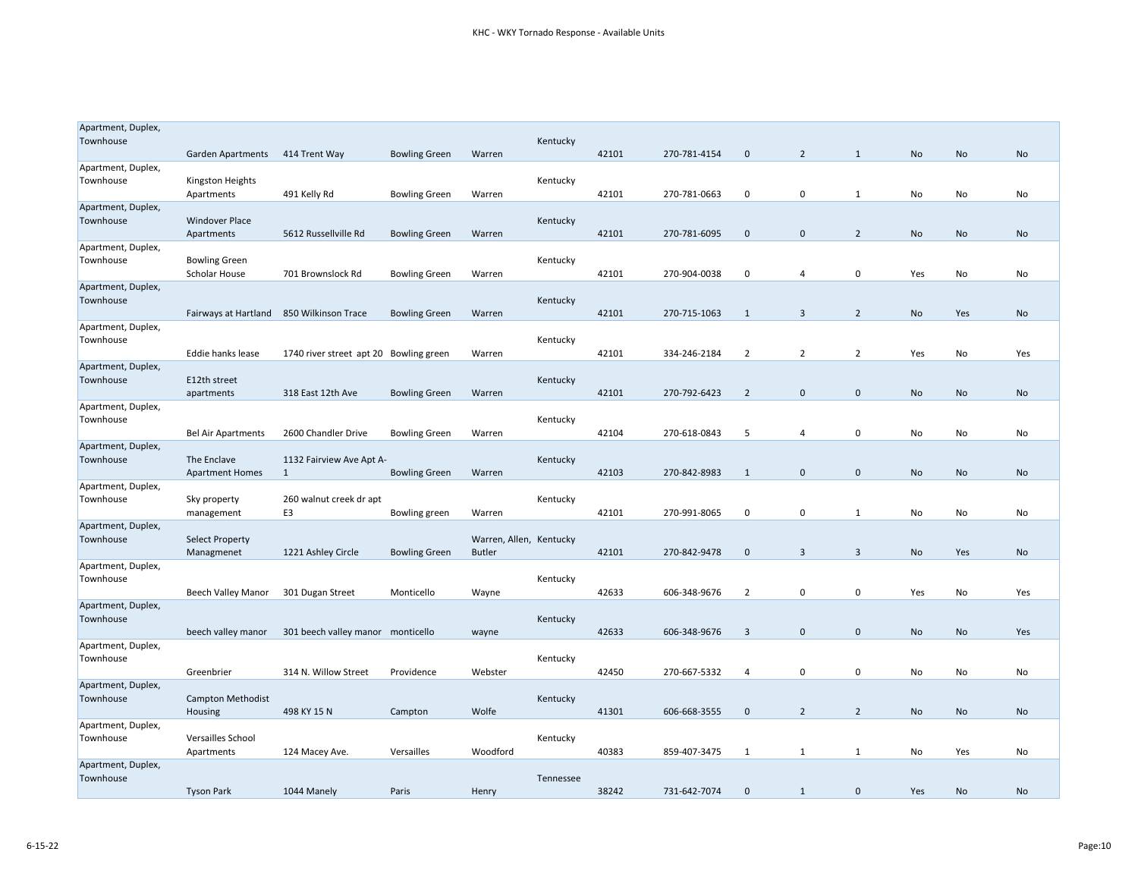| Apartment, Duplex,              |                                          |                                        |                      |                         |           |       |              |                |                |                |           |           |     |
|---------------------------------|------------------------------------------|----------------------------------------|----------------------|-------------------------|-----------|-------|--------------|----------------|----------------|----------------|-----------|-----------|-----|
| Townhouse                       |                                          |                                        |                      |                         | Kentucky  |       |              |                |                |                |           |           |     |
|                                 | Garden Apartments                        | 414 Trent Way                          | <b>Bowling Green</b> | Warren                  |           | 42101 | 270-781-4154 | $\mathbf 0$    | $\overline{2}$ | $\mathbf{1}$   | No        | No        | No  |
| Apartment, Duplex,<br>Townhouse | Kingston Heights                         |                                        |                      |                         | Kentucky  |       |              |                |                |                |           |           |     |
|                                 | Apartments                               | 491 Kelly Rd                           | <b>Bowling Green</b> | Warren                  |           | 42101 | 270-781-0663 | 0              | 0              | 1              | No        | No        | No  |
| Apartment, Duplex,              |                                          |                                        |                      |                         |           |       |              |                |                |                |           |           |     |
| Townhouse                       | <b>Windover Place</b>                    |                                        |                      |                         | Kentucky  |       |              |                |                |                |           |           |     |
|                                 | Apartments                               | 5612 Russellville Rd                   | <b>Bowling Green</b> | Warren                  |           | 42101 | 270-781-6095 | $\mathbf{0}$   | $\mathbf{0}$   | $\overline{2}$ | No        | No        | No  |
| Apartment, Duplex,              |                                          |                                        |                      |                         |           |       |              |                |                |                |           |           |     |
| Townhouse                       | <b>Bowling Green</b>                     |                                        |                      |                         | Kentucky  |       | 270-904-0038 | $\mathbf 0$    |                | 0              |           | No        | No  |
| Apartment, Duplex,              | Scholar House                            | 701 Brownslock Rd                      | <b>Bowling Green</b> | Warren                  |           | 42101 |              |                | 4              |                | Yes       |           |     |
| Townhouse                       |                                          |                                        |                      |                         | Kentucky  |       |              |                |                |                |           |           |     |
|                                 | Fairways at Hartland 850 Wilkinson Trace |                                        | <b>Bowling Green</b> | Warren                  |           | 42101 | 270-715-1063 | $\mathbf{1}$   | 3              | $\overline{2}$ | <b>No</b> | Yes       | No  |
| Apartment, Duplex,              |                                          |                                        |                      |                         |           |       |              |                |                |                |           |           |     |
| Townhouse                       |                                          |                                        |                      |                         | Kentucky  |       |              |                |                |                |           |           |     |
|                                 | Eddie hanks lease                        | 1740 river street apt 20 Bowling green |                      | Warren                  |           | 42101 | 334-246-2184 | 2              | 2              | $\overline{2}$ | Yes       | No        | Yes |
| Apartment, Duplex,              |                                          |                                        |                      |                         |           |       |              |                |                |                |           |           |     |
| Townhouse                       | E12th street<br>apartments               | 318 East 12th Ave                      | <b>Bowling Green</b> | Warren                  | Kentucky  | 42101 | 270-792-6423 | 2              | $\mathbf 0$    | $\mathbf 0$    | No        | <b>No</b> | No  |
| Apartment, Duplex,              |                                          |                                        |                      |                         |           |       |              |                |                |                |           |           |     |
| Townhouse                       |                                          |                                        |                      |                         | Kentucky  |       |              |                |                |                |           |           |     |
|                                 | <b>Bel Air Apartments</b>                | 2600 Chandler Drive                    | <b>Bowling Green</b> | Warren                  |           | 42104 | 270-618-0843 | 5              | 4              | 0              | No        | No        | No  |
| Apartment, Duplex,              |                                          |                                        |                      |                         |           |       |              |                |                |                |           |           |     |
| Townhouse                       | The Enclave                              | 1132 Fairview Ave Apt A-               |                      |                         | Kentucky  |       |              |                |                |                |           |           |     |
|                                 | <b>Apartment Homes</b>                   | 1                                      | <b>Bowling Green</b> | Warren                  |           | 42103 | 270-842-8983 | $\mathbf{1}$   | $\mathbf 0$    | $\pmb{0}$      | No        | No        | No  |
| Apartment, Duplex,<br>Townhouse | Sky property                             | 260 walnut creek dr apt                |                      |                         | Kentucky  |       |              |                |                |                |           |           |     |
|                                 | management                               | E3                                     | Bowling green        | Warren                  |           | 42101 | 270-991-8065 | 0              | 0              | 1              | No        | No        | No  |
| Apartment, Duplex,              |                                          |                                        |                      |                         |           |       |              |                |                |                |           |           |     |
| Townhouse                       | <b>Select Property</b>                   |                                        |                      | Warren, Allen, Kentucky |           |       |              |                |                |                |           |           |     |
|                                 | Managmenet                               | 1221 Ashley Circle                     | <b>Bowling Green</b> | <b>Butler</b>           |           | 42101 | 270-842-9478 | $\mathbf{0}$   | 3              | $\overline{3}$ | No        | Yes       | No  |
| Apartment, Duplex,              |                                          |                                        |                      |                         |           |       |              |                |                |                |           |           |     |
| Townhouse                       |                                          |                                        |                      |                         | Kentucky  |       |              |                |                |                |           |           |     |
|                                 | <b>Beech Valley Manor</b>                | 301 Dugan Street                       | Monticello           | Wayne                   |           | 42633 | 606-348-9676 | 2              | 0              | $\mathbf 0$    | Yes       | No        | Yes |
| Apartment, Duplex,<br>Townhouse |                                          |                                        |                      |                         | Kentucky  |       |              |                |                |                |           |           |     |
|                                 | beech valley manor                       | 301 beech valley manor monticello      |                      | wayne                   |           | 42633 | 606-348-9676 | $\overline{3}$ | $\mathbf{0}$   | $\mathbf{0}$   | No        | No        | Yes |
| Apartment, Duplex,              |                                          |                                        |                      |                         |           |       |              |                |                |                |           |           |     |
| Townhouse                       |                                          |                                        |                      |                         | Kentucky  |       |              |                |                |                |           |           |     |
|                                 | Greenbrier                               | 314 N. Willow Street                   | Providence           | Webster                 |           | 42450 | 270-667-5332 | 4              | $\mathbf 0$    | 0              | No        | No        | No  |
| Apartment, Duplex,              |                                          |                                        |                      |                         |           |       |              |                |                |                |           |           |     |
| Townhouse                       | Campton Methodist                        |                                        |                      |                         | Kentucky  |       |              |                |                |                |           |           |     |
| Apartment, Duplex,              | Housing                                  | 498 KY 15 N                            | Campton              | Wolfe                   |           | 41301 | 606-668-3555 | $\mathbf 0$    | $\overline{2}$ | $\overline{2}$ | No        | No        | No  |
| Townhouse                       | Versailles School                        |                                        |                      |                         | Kentucky  |       |              |                |                |                |           |           |     |
|                                 | Apartments                               | 124 Macey Ave.                         | Versailles           | Woodford                |           | 40383 | 859-407-3475 | 1              | 1              | 1              | No        | Yes       | No  |
| Apartment, Duplex,              |                                          |                                        |                      |                         |           |       |              |                |                |                |           |           |     |
| Townhouse                       |                                          |                                        |                      |                         | Tennessee |       |              |                |                |                |           |           |     |
|                                 | <b>Tyson Park</b>                        | 1044 Manely                            | Paris                | Henry                   |           | 38242 | 731-642-7074 | $\mathbf{0}$   | $\mathbf{1}$   | $\mathbf 0$    | Yes       | No        | No  |